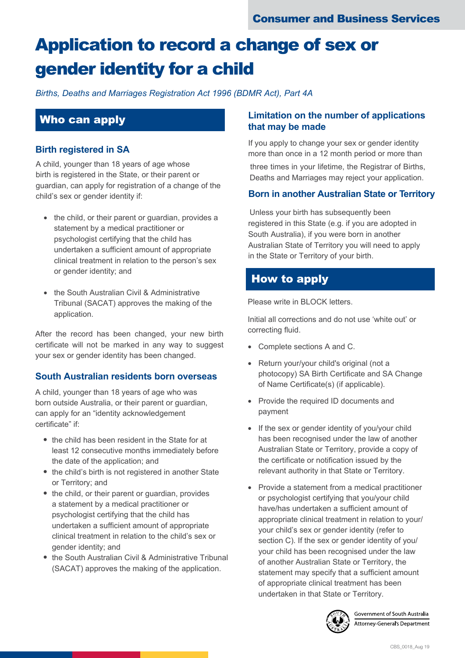# Application to record a change of sex or gender identity for a child

*Births, Deaths and Marriages Registration Act 1996 (BDMR Act), Part 4A*

## Who can apply

#### **Birth registered in SA**

A child, younger than 18 years of age whose birth is registered in the State, or their parent or guardian, can apply for registration of a change of the child's sex or gender identity if:

- the child, or their parent or guardian, provides a statement by a medical practitioner or psychologist certifying that the child has undertaken a sufficient amount of appropriate clinical treatment in relation to the person's sex or gender identity; and
- the South Australian Civil & Administrative Tribunal (SACAT) approves the making of the application.

After the record has been changed, your new birth certificate will not be marked in any way to suggest your sex or gender identity has been changed.

#### **South Australian residents born overseas**

A child, younger than 18 years of age who was born outside Australia, or their parent or guardian, can apply for an "identity acknowledgement certificate" if:

- the child has been resident in the State for at least 12 consecutive months immediately before the date of the application; and
- the child's birth is not registered in another State or Territory; and
- the child, or their parent or quardian, provides a statement by a medical practitioner or psychologist certifying that the child has undertaken a sufficient amount of appropriate clinical treatment in relation to the child's sex or gender identity; and
- the South Australian Civil & Administrative Tribunal (SACAT) approves the making of the application.

#### **Limitation on the number of applications that may be made**

If you apply to change your sex or gender identity more than once in a 12 month period or more than

three times in your lifetime, the Registrar of Births, Deaths and Marriages may reject your application.

#### **Born in another Australian State or Territory**

Unless your birth has subsequently been registered in this State (e.g. if you are adopted in South Australia), if you were born in another Australian State of Territory you will need to apply in the State or Territory of your birth.

## How to apply

Please write in BLOCK letters.

Initial all corrections and do not use 'white out' or correcting fluid.

- Complete sections A and C.
- Return your/your child's original (not a photocopy) SA Birth Certificate and SA Change of Name Certificate(s) (if applicable).
- Provide the required ID documents and payment
- If the sex or gender identity of you/your child has been recognised under the law of another Australian State or Territory, provide a copy of the certificate or notification issued by the relevant authority in that State or Territory.
- Provide a statement from a medical practitioner or psychologist certifying that you/your child have/has undertaken a sufficient amount of appropriate clinical treatment in relation to your/ your child's sex or gender identity (refer to section C). If the sex or gender identity of you/ your child has been recognised under the law of another Australian State or Territory, the statement may specify that a sufficient amount of appropriate clinical treatment has been undertaken in that State or Territory.



Government of South Austra<mark>l</mark>ia Attorney-General's Department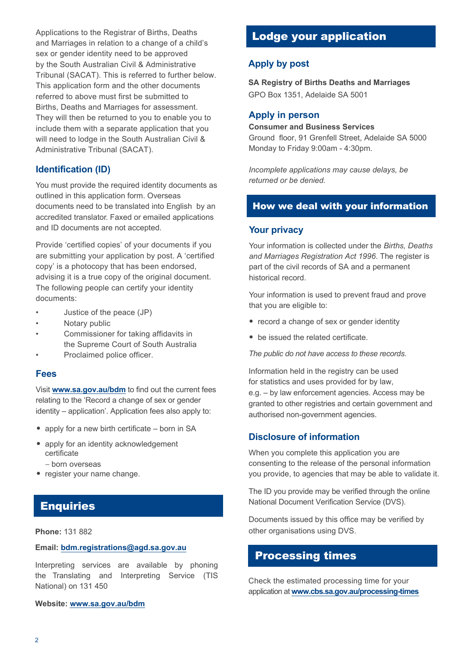Applications to the Registrar of Births, Deaths and Marriages in relation to a change of a child's sex or gender identity need to be approved by the South Australian Civil & Administrative Tribunal (SACAT). This is referred to further below. This application form and the other documents referred to above must first be submitted to Births, Deaths and Marriages for assessment. They will then be returned to you to enable you to include them with a separate application that you will need to lodge in the South Australian Civil & Administrative Tribunal (SACAT).

#### **Identification (ID)**

You must provide the required identity documents as outlined in this application form. Overseas documents need to be translated into English by an accredited translator. Faxed or emailed applications and ID documents are not accepted.

Provide 'certified copies' of your documents if you are submitting your application by post. A 'certified copy' is a photocopy that has been endorsed, advising it is a true copy of the original document. The following people can certify your identity documents:

- Justice of the peace (JP)
- Notary public
- Commissioner for taking affidavits in the Supreme Court of South Australia
- Proclaimed police officer.

#### **Fees**

Visit **[www.sa.gov.au/bdm](http://www.sa.gov.au/bdm)** to find out the current fees relating to the 'Record a change of sex or gender identity – application'. Application fees also apply to:

- apply for a new birth certificate born in SA
- apply for an identity acknowledgement certificate
	- born overseas
- register your name change.

## **Enquiries**

#### **Email: bdm.registrations@agd.sa.gov.au**

Interpreting services are available by phoning the Translating and Interpreting Service (TIS National) on 131 450

#### **Website: www.sa.gov.au/bdm**

## Lodge your application

#### **Apply by post**

**SA Registry of Births Deaths and Marriages**  GPO Box 1351, Adelaide SA 5001

#### **Apply in person**

#### **Consumer and Business Services**

Ground floor, 91 Grenfell Street, Adelaide SA 5000 Monday to Friday 9:00am - 4:30pm.

*Incomplete applications may cause delays, be returned or be denied.*

#### How we deal with your information

#### **Your privacy**

Your information is collected under the *Births, Deaths and Marriages Registration Act 1996*. The register is part of the civil records of SA and a permanent historical record.

Your information is used to prevent fraud and prove that you are eligible to:

- record a change of sex or gender identity
- be issued the related certificate.

*The public do not have access to these records.* 

Information held in the registry can be used for statistics and uses provided for by law, e.g. – by law enforcement agencies. Access may be granted to other registries and certain government and authorised non-government agencies.

#### **Disclosure of information**

When you complete this application you are consenting to the release of the personal information you provide, to agencies that may be able to validate it.

The ID you provide may be verified through the online National Document Verification Service (DVS).

Documents issued by this office may be verified by **Phone:** 131 882 **b Phone: 131 882 other organisations using DVS.** 

### Processing times

Check the estimated processing time for your application at **www.cbs.sa.gov.au/processing-times**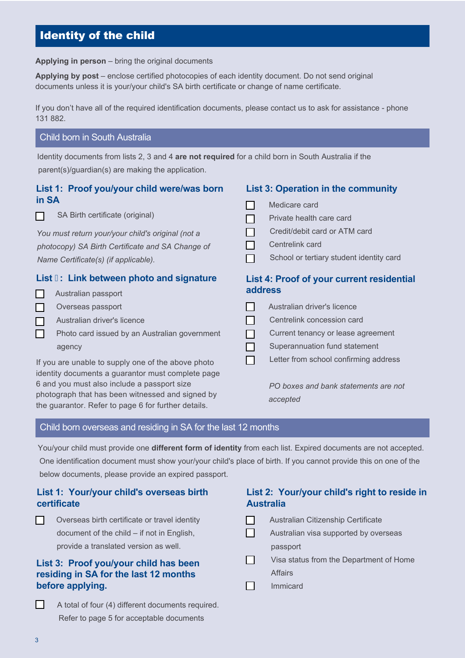## Identity of the child

**Applying in person** – bring the original documents

**Applying by post** – enclose certified photocopies of each identity document. Do not send original documents unless it is your/your child's SA birth certificate or change of name certificate.

If you don't have all of the required identification documents, please contact us to ask for assistance - phone 131 882.

#### Child born in South Australia

Identity documents from lists 2, 3 and 4 **are not required** for a child born in South Australia if the parent(s)/guardian(s) are making the application.

#### **List 1: Proof you/your child were/was born in SA**

П

SA Birth certificate (original)

*You must return your/your child's original (not a photocopy) SA Birth Certificate and SA Change of Name Certificate(s) (if applicable).*

#### **List : Link between photo and signature**

- Australian passport
- Overseas passport
- Australian driver's licence
- Photo card issued by an Australian government agency

If you are unable to supply one of the above photo identity documents a guarantor must complete page 6 and you must also include a passport size photograph that has been witnessed and signed by the guarantor. Refer to page 6 for further details.

#### **List 3: Operation in the community**

- Medicare card
- Private health care card
- Credit/debit card or ATM card ΙI
- Centrelink card
- School or tertiary student identity card П

#### **List 4: Proof of your current residential address**

|     | Australian driver's licence           |
|-----|---------------------------------------|
| I.  | Centrelink concession card            |
| H.  | Current tenancy or lease agreement    |
| 1 T | Superannuation fund statement         |
|     | Letter from school confirming address |
|     |                                       |

*PO boxes and bank statements are not accepted*

#### Child born overseas and residing in SA for the last 12 months

You/your child must provide one **different form of identity** from each list. Expired documents are not accepted.

One identification document must show your/your child's place of birth. If you cannot provide this on one of the below documents, please provide an expired passport.

#### **List 1: Your/your child's overseas birth certificate**

| Overseas birth certificate or travel identity |
|-----------------------------------------------|
| document of the child $-$ if not in English,  |
| provide a translated version as well.         |

#### **List 3: Proof you/your child has been residing in SA for the last 12 months before applying.**

П A total of four (4) different documents required. Refer to page 5 for acceptable documents

#### **List 2: Your/your child's right to reside in Australia**

| Australian Citizenship Certificate      |
|-----------------------------------------|
| Australian visa supported by overseas   |
| passport                                |
| Visa status from the Department of Home |
| Affairs                                 |
| Immicard                                |
|                                         |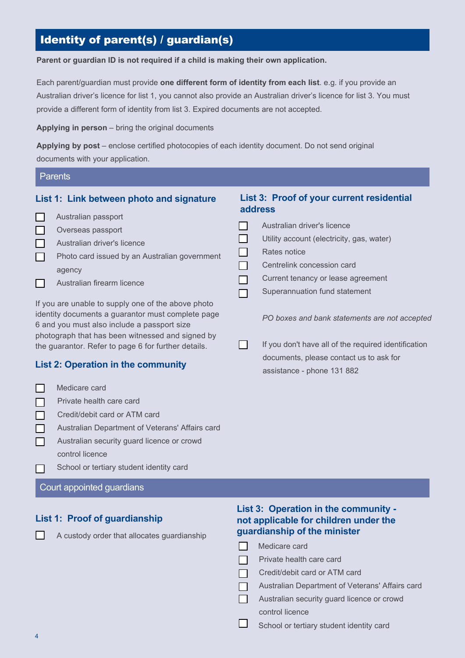## Identity of parent(s) / guardian(s)

**Parent or guardian ID is not required if a child is making their own application.**

Each parent/guardian must provide **one different form of identity from each list**. e.g. if you provide an Australian driver's licence for list 1, you cannot also provide an Australian driver's licence for list 3. You must provide a different form of identity from list 3. Expired documents are not accepted.

**Applying in person** – bring the original documents

**Applying by post** – enclose certified photocopies of each identity document. Do not send original documents with your application.

| <b>Parents</b>                                                                                                                                         |                                                      |  |  |
|--------------------------------------------------------------------------------------------------------------------------------------------------------|------------------------------------------------------|--|--|
| List 1: Link between photo and signature<br>$\Box$<br>Australian passport                                                                              | List 3: Proof of your current residential<br>address |  |  |
| $\Box$<br>Overseas passport                                                                                                                            | Australian driver's licence                          |  |  |
| $\Box$<br>Australian driver's licence                                                                                                                  | Utility account (electricity, gas, water)            |  |  |
| $\Box$<br>Photo card issued by an Australian government                                                                                                | Rates notice                                         |  |  |
| agency                                                                                                                                                 | Centrelink concession card                           |  |  |
| $\Box$<br>Australian firearm licence                                                                                                                   | Current tenancy or lease agreement                   |  |  |
|                                                                                                                                                        | Superannuation fund statement                        |  |  |
| If you are unable to supply one of the above photo<br>identity documents a guarantor must complete page<br>6 and you must also include a passport size | PO boxes and bank statements are not accepted        |  |  |
| photograph that has been witnessed and signed by<br>the guarantor. Refer to page 6 for further details.                                                | If you don't have all of the required identification |  |  |
|                                                                                                                                                        | documents, please contact us to ask for              |  |  |
| <b>List 2: Operation in the community</b>                                                                                                              | assistance - phone 131 882                           |  |  |
| $\Box$<br>Medicare card                                                                                                                                |                                                      |  |  |
| Private health care card                                                                                                                               |                                                      |  |  |

Australian Department of Veterans' Affairs card

Credit/debit card or ATM card

- Australian security guard licence or crowd ┍ control licence
- School or tertiary student identity card  $\Box$

#### Court appointed guardians

#### **List 1: Proof of guardianship**

П

A custody order that allocates guardianship

#### **List 3: Operation in the community not applicable for children under the guardianship of the minister**

| Medicare card                                   |
|-------------------------------------------------|
| Private health care card                        |
| Credit/debit card or ATM card                   |
| Australian Department of Veterans' Affairs card |
| Australian security guard licence or crowd      |
| control licence                                 |
| School or tertiary student identity card        |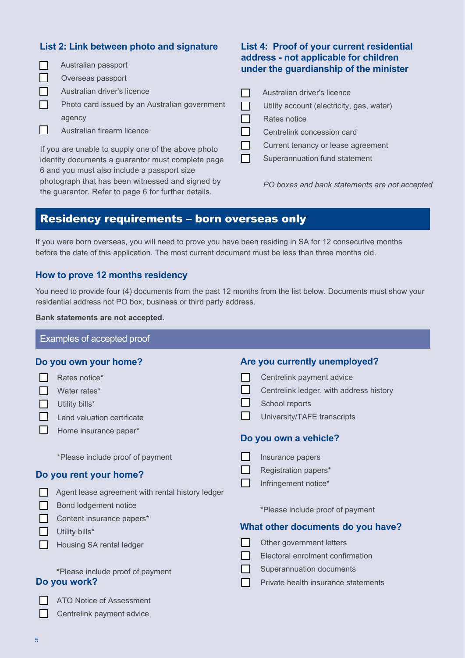#### **List 2: Link between photo and signature**

| Australian passport                              |                                                     | address - not applicable for children<br>under the guardianship of the minister |                                               |  |
|--------------------------------------------------|-----------------------------------------------------|---------------------------------------------------------------------------------|-----------------------------------------------|--|
|                                                  | Overseas passport                                   |                                                                                 |                                               |  |
|                                                  | Australian driver's licence                         |                                                                                 | Australian driver's licence                   |  |
| ΙI                                               | Photo card issued by an Australian government       |                                                                                 | Utility account (electricity, gas, water)     |  |
|                                                  | agency                                              |                                                                                 | Rates notice                                  |  |
|                                                  | Australian firearm licence                          |                                                                                 | Centrelink concession card                    |  |
|                                                  | If you are unable to supply one of the above photo  |                                                                                 | Current tenancy or lease agreement            |  |
|                                                  | identity documents a guarantor must complete page   |                                                                                 | Superannuation fund statement                 |  |
|                                                  | 6 and you must also include a passport size         |                                                                                 |                                               |  |
| photograph that has been witnessed and signed by |                                                     |                                                                                 | PO boxes and bank statements are not accepted |  |
|                                                  | the guarantor. Refer to page 6 for further details. |                                                                                 |                                               |  |

**List 4: Proof of your current residential** 

## Residency requirements – born overseas only

If you were born overseas, you will need to prove you have been residing in SA for 12 consecutive months before the date of this application. The most current document must be less than three months old.

#### **How to prove 12 months residency**

You need to provide four (4) documents from the past 12 months from the list below. Documents must show your residential address not PO box, business or third party address.

**Bank statements are not accepted.**

|                        | Examples of accepted proof                       |                                         |
|------------------------|--------------------------------------------------|-----------------------------------------|
|                        | Do you own your home?                            | Are you currently unemployed?           |
|                        | Rates notice*                                    | Centrelink payment advice               |
|                        | Water rates*                                     | Centrelink ledger, with address history |
|                        | Utility bills*                                   | School reports                          |
|                        | Land valuation certificate                       | University/TAFE transcripts             |
|                        | Home insurance paper*                            | Do you own a vehicle?                   |
|                        | *Please include proof of payment                 | Insurance papers                        |
| Do you rent your home? |                                                  | Registration papers*                    |
|                        | Agent lease agreement with rental history ledger | Infringement notice*                    |
|                        | Bond lodgement notice                            | *Please include proof of payment        |
|                        | Content insurance papers*<br>Utility bills*      | What other documents do you have?       |
|                        | Housing SA rental ledger                         | Other government letters                |
|                        |                                                  | Electoral enrolment confirmation        |
|                        | *Please include proof of payment                 | Superannuation documents                |
|                        | Do you work?                                     | Private health insurance statements     |
|                        | ATO Notice of Assessment                         |                                         |
|                        | Centrelink payment advice                        |                                         |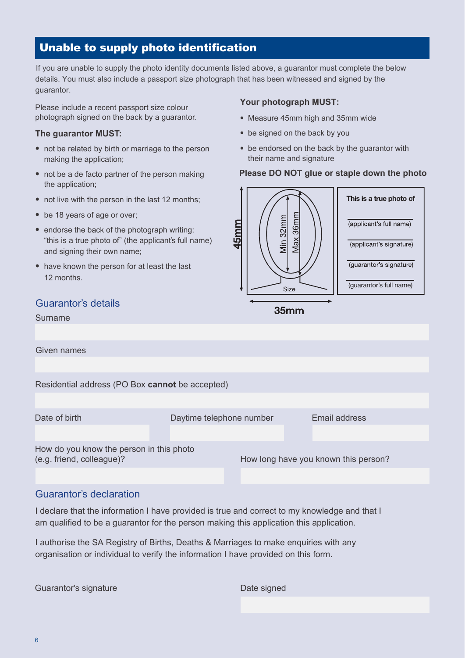## Unable to supply photo identification

If you are unable to supply the photo identity documents listed above, a guarantor must complete the below details. You must also include a passport size photograph that has been witnessed and signed by the guarantor.

Please include a recent passport size colour photograph signed on the back by a guarantor.

#### **The guarantor MUST:**

- not be related by birth or marriage to the person making the application;
- not be a de facto partner of the person making the application;
- not live with the person in the last 12 months;
- be 18 years of age or over;
- endorse the back of the photograph writing: "this is a true photo of" (the applicant's full name) and signing their own name;
- have known the person for at least the last 12 months.

#### Guarantor's details

#### Surname

**Your photograph MUST:**

- Measure 45mm high and 35mm wide
- be signed on the back by you
- be endorsed on the back by the guarantor with their name and signature

#### **Please DO NOT glue or staple down the photo**



35mm

| Given names                                     |  |  |  |                                      |  |
|-------------------------------------------------|--|--|--|--------------------------------------|--|
|                                                 |  |  |  |                                      |  |
| Residential address (PO Box cannot be accepted) |  |  |  |                                      |  |
|                                                 |  |  |  |                                      |  |
| Date of birth<br>Daytime telephone number       |  |  |  | Email address                        |  |
|                                                 |  |  |  |                                      |  |
| How do you know the person in this photo        |  |  |  |                                      |  |
| (e.g. friend, colleague)?                       |  |  |  | How long have you known this person? |  |
|                                                 |  |  |  |                                      |  |
|                                                 |  |  |  |                                      |  |

#### Guarantor's declaration

I declare that the information I have provided is true and correct to my knowledge and that I am qualified to be a guarantor for the person making this application this application.

I authorise the SA Registry of Births, Deaths & Marriages to make enquiries with any organisation or individual to verify the information I have provided on this form.

Guarantor's signature **Date signed** Business Controller and Date signed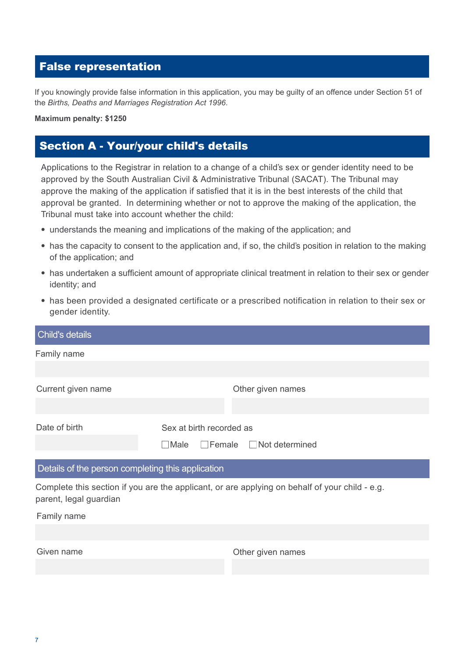## False representation

If you knowingly provide false information in this application, you may be guilty of an offence under Section 51 of the *Births, Deaths and Marriages Registration Act 1996*.

#### **Maximum penalty: \$1250**

## Section A - Your/your child's details

Applications to the Registrar in relation to a change of a child's sex or gender identity need to be approved by the South Australian Civil & Administrative Tribunal (SACAT). The Tribunal may approve the making of the application if satisfied that it is in the best interests of the child that approval be granted. In determining whether or not to approve the making of the application, the Tribunal must take into account whether the child:

- understands the meaning and implications of the making of the application; and
- has the capacity to consent to the application and, if so, the child's position in relation to the making of the application; and
- has undertaken a sufficient amount of appropriate clinical treatment in relation to their sex or gender identity; and
- has been provided a designated certificate or a prescribed notification in relation to their sex or gender identity.

| Child's details                                   |                                                                                                |  |  |  |
|---------------------------------------------------|------------------------------------------------------------------------------------------------|--|--|--|
| Family name                                       |                                                                                                |  |  |  |
|                                                   |                                                                                                |  |  |  |
| Current given name                                | Other given names                                                                              |  |  |  |
|                                                   |                                                                                                |  |  |  |
| Date of birth                                     | Sex at birth recorded as                                                                       |  |  |  |
|                                                   | $\Box$ Female $\Box$ Not determined<br>$\Box$ Male                                             |  |  |  |
| Details of the person completing this application |                                                                                                |  |  |  |
|                                                   |                                                                                                |  |  |  |
| parent, legal guardian                            | Complete this section if you are the applicant, or are applying on behalf of your child - e.g. |  |  |  |
| Family name                                       |                                                                                                |  |  |  |
|                                                   |                                                                                                |  |  |  |
| Given name                                        | Other given names                                                                              |  |  |  |
|                                                   |                                                                                                |  |  |  |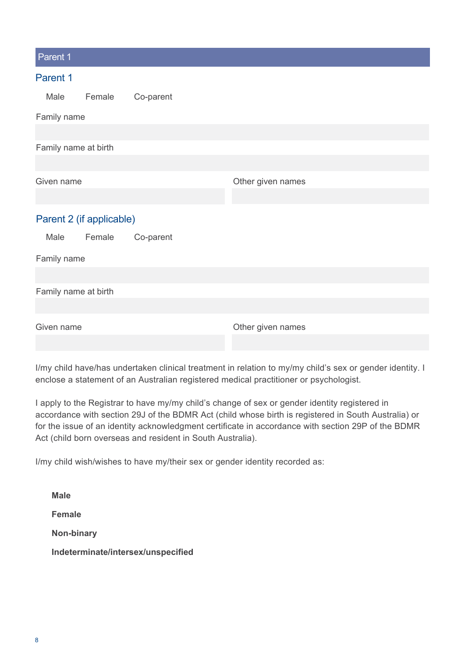| Parent 1                 |           |                   |
|--------------------------|-----------|-------------------|
| Parent 1                 |           |                   |
| Female<br>Male           | Co-parent |                   |
| Family name              |           |                   |
|                          |           |                   |
| Family name at birth     |           |                   |
|                          |           |                   |
| Given name               |           | Other given names |
|                          |           |                   |
| Parent 2 (if applicable) |           |                   |
| Male<br>Female           | Co-parent |                   |
| Family name              |           |                   |
|                          |           |                   |
| Family name at birth     |           |                   |
|                          |           |                   |
| Given name               |           | Other given names |
|                          |           |                   |
|                          |           |                   |

I/my child have/has undertaken clinical treatment in relation to my/my child's sex or gender identity. I enclose a statement of an Australian registered medical practitioner or psychologist.

I apply to the Registrar to have my/my child's change of sex or gender identity registered in accordance with section 29J of the BDMR Act (child whose birth is registered in South Australia) or for the issue of an identity acknowledgment certificate in accordance with section 29P of the BDMR Act (child born overseas and resident in South Australia).

I/my child wish/wishes to have my/their sex or gender identity recorded as:

| Male                               |
|------------------------------------|
| <b>Female</b>                      |
| Non-binary                         |
| Indeterminate/intersex/unspecified |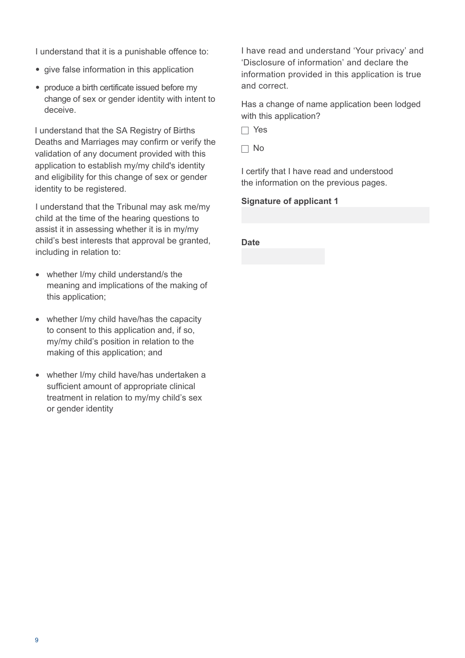I understand that it is a punishable offence to:

- give false information in this application
- produce a birth certificate issued before my change of sex or gender identity with intent to deceive.

I understand that the SA Registry of Births Deaths and Marriages may confirm or verify the validation of any document provided with this application to establish my/my child's identity and eligibility for this change of sex or gender identity to be registered.

I understand that the Tribunal may ask me/my child at the time of the hearing questions to assist it in assessing whether it is in my/my child's best interests that approval be granted, including in relation to:

- whether I/my child understand/s the meaning and implications of the making of this application;
- whether I/my child have/has the capacity to consent to this application and, if so, my/my child's position in relation to the making of this application; and
- whether I/my child have/has undertaken a sufficient amount of appropriate clinical treatment in relation to my/my child's sex or gender identity

I have read and understand 'Your privacy' and 'Disclosure of information' and declare the information provided in this application is true and correct

Has a change of name application been lodged with this application?

 $\Box$  Yes

No

I certify that I have read and understood the information on the previous pages.

**Signature of applicant 1**

#### **Date**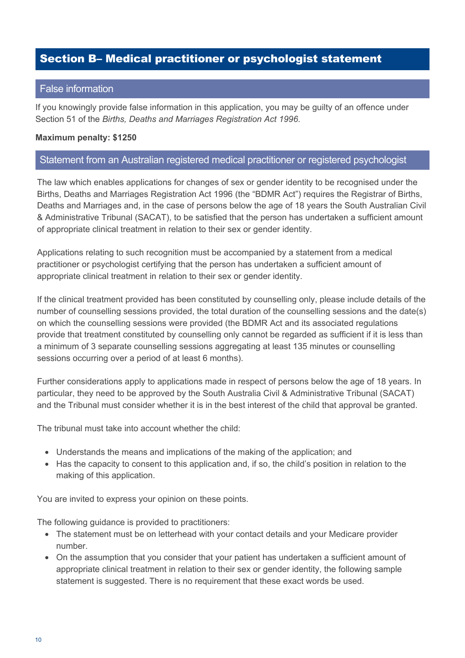## Section B– Medical practitioner or psychologist statement

#### False information

If you knowingly provide false information in this application, you may be guilty of an offence under Section 51 of the *Births, Deaths and Marriages Registration Act 1996*.

#### **Maximum penalty: \$1250**

#### Statement from an Australian registered medical practitioner or registered psychologist

The law which enables applications for changes of sex or gender identity to be recognised under the Births, Deaths and Marriages Registration Act 1996 (the "BDMR Act") requires the Registrar of Births, Deaths and Marriages and, in the case of persons below the age of 18 years the South Australian Civil & Administrative Tribunal (SACAT), to be satisfied that the person has undertaken a sufficient amount of appropriate clinical treatment in relation to their sex or gender identity.

Applications relating to such recognition must be accompanied by a statement from a medical practitioner or psychologist certifying that the person has undertaken a sufficient amount of appropriate clinical treatment in relation to their sex or gender identity.

If the clinical treatment provided has been constituted by counselling only, please include details of the number of counselling sessions provided, the total duration of the counselling sessions and the date(s) on which the counselling sessions were provided (the BDMR Act and its associated regulations provide that treatment constituted by counselling only cannot be regarded as sufficient if it is less than a minimum of 3 separate counselling sessions aggregating at least 135 minutes or counselling sessions occurring over a period of at least 6 months).

Further considerations apply to applications made in respect of persons below the age of 18 years. In particular, they need to be approved by the South Australia Civil & Administrative Tribunal (SACAT) and the Tribunal must consider whether it is in the best interest of the child that approval be granted.

The tribunal must take into account whether the child:

- Understands the means and implications of the making of the application; and
- Has the capacity to consent to this application and, if so, the child's position in relation to the making of this application.

You are invited to express your opinion on these points.

The following guidance is provided to practitioners:

- The statement must be on letterhead with your contact details and your Medicare provider number.
- On the assumption that you consider that your patient has undertaken a sufficient amount of appropriate clinical treatment in relation to their sex or gender identity, the following sample statement is suggested. There is no requirement that these exact words be used.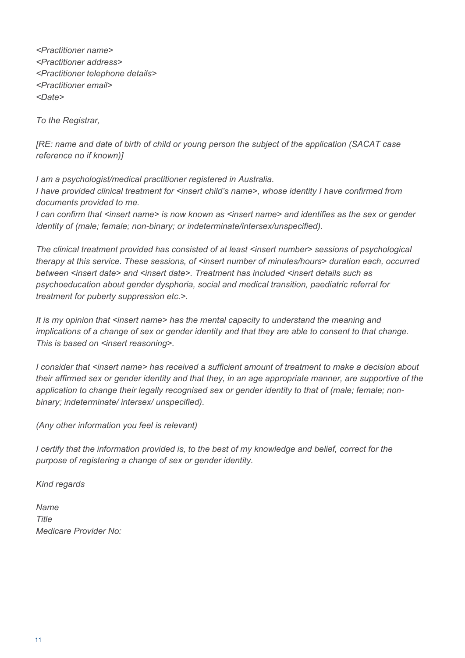*<Practitioner name> <Practitioner address> <Practitioner telephone details> <Practitioner email> <Date>*

*To the Registrar,*

*[RE: name and date of birth of child or young person the subject of the application (SACAT case reference no if known)]*

*I am a psychologist/medical practitioner registered in Australia. I have provided clinical treatment for <insert child's name>, whose identity I have confirmed from documents provided to me.*

*I can confirm that <insert name> is now known as <insert name> and identifies as the sex or gender identity of (male; female; non-binary; or indeterminate/intersex/unspecified).* 

*The clinical treatment provided has consisted of at least <insert number> sessions of psychological therapy at this service. These sessions, of <insert number of minutes/hours> duration each, occurred*  between <insert date> and <insert date>. Treatment has included <insert details such as *psychoeducation about gender dysphoria, social and medical transition, paediatric referral for treatment for puberty suppression etc.>.*

*It is my opinion that <insert name> has the mental capacity to understand the meaning and implications of a change of sex or gender identity and that they are able to consent to that change. This is based on <insert reasoning>.* 

*I consider that <insert name> has received a sufficient amount of treatment to make a decision about their affirmed sex or gender identity and that they, in an age appropriate manner, are supportive of the application to change their legally recognised sex or gender identity to that of (male; female; nonbinary; indeterminate/ intersex/ unspecified).*

*(Any other information you feel is relevant)*

*I certify that the information provided is, to the best of my knowledge and belief, correct for the purpose of registering a change of sex or gender identity.*

*Kind regards*

*Name Title Medicare Provider No:*